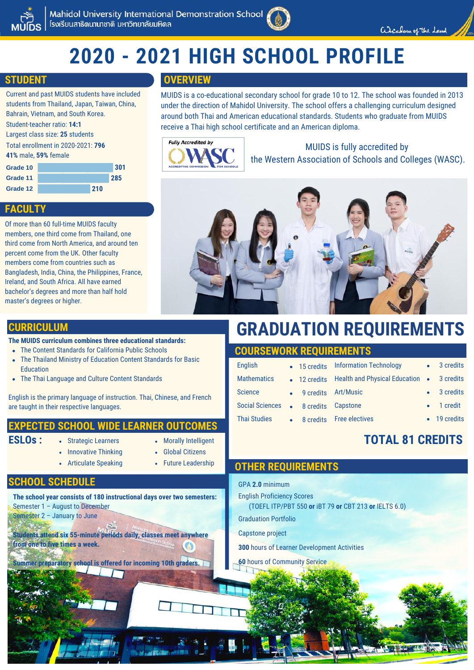

# **2020 - 2021 HIGH SCHOOL PROFILE**

# **STUDENT**

Current and past MUIDS students have included students from Thailand, Japan, Taiwan, China, Bahrain, Vietnam, and South Korea.

Student-teacher ratio: **14:1**

Largest class size: **25** students Total enrollment in 2020-2021: **796**

**41%** male, **59%** female

| Grade 10 |     | 301 |
|----------|-----|-----|
| Grade 11 |     | 285 |
| Grade 12 | 210 |     |

# **FACULTY**

Of more than 60 full-time MUIDS faculty members, one third come from Thailand, one third come from North America, and around ten percent come from the UK. Other faculty members come from countries such as Bangladesh, India, China, the Philippines, France, Ireland, and South Africa. All have earned bachelor's degrees and more than half hold master's degrees or higher.

# **OVERVIEW**

MUIDS is a co-educational secondary school for grade 10 to 12. The school was founded in 2013 under the direction of Mahidol University. The school offers a challenging curriculum designed around both Thai and American educational standards. Students who graduate from MUIDS receive a Thai high school certificate and an American diploma.



MUIDS is fully accredited by the Western Association of Schools and Colleges (WASC).



# **CURRICULUM**

### **The MUIDS curriculum combines three educational standards:**

- The Content Standards for California Public Schools
- The Thailand Ministry of Education Content Standards for Basic Education
- The Thai Language and Culture Content Standards

English is the primary language of instruction. Thai, Chinese, and French are taught in their respective languages.

# **EXPECTED SCHOOL WIDE LEARNER OUTCOMES**

- **ESLOs :**
- Strategic Learners • Morally Intelligent
	- Global Citizens
- Innovative Thinking Articulate Speaking
- Future Leadership

### **SCHOOL SCHEDULE**

**The school year consists of 180 instructional days over two semesters:** Semester 1 – August to December

Semester 2 – January to June

**Students attend six 55-minute periods daily, classes meet anywhere from one to five times a week.**

**Summer preparatory school is offered for incoming 10th graders.**

# **GRADUATION REQUIREMENTS**

# **COURSEWORK REQUIREMENTS**

| <b>English</b>         |                       | • 15 credits Information Technology                    | • 3 credits        |
|------------------------|-----------------------|--------------------------------------------------------|--------------------|
| <b>Mathematics</b>     |                       | • 12 credits Health and Physical Education • 3 credits |                    |
| <b>Science</b>         | • 9 credits Art/Music |                                                        | • 3 credits        |
| <b>Social Sciences</b> | • 8 credits Capstone  |                                                        | $\bullet$ 1 credit |
| <b>Thai Studies</b>    |                       | • 8 credits Free electives                             | • 19 credits       |
|                        |                       |                                                        |                    |

# **TOTAL 81 CREDITS**

# GPA **2.0** minimum English Proficiency Scores (TOEFL ITP/PBT 550 **or** iBT 79 **or** CBT 213 **or** IELTS 6.0) Graduation Portfolio Capstone project **300** hours of Learner Development Activities **60** hours of Community Service **OTHER REQUIREMENTS**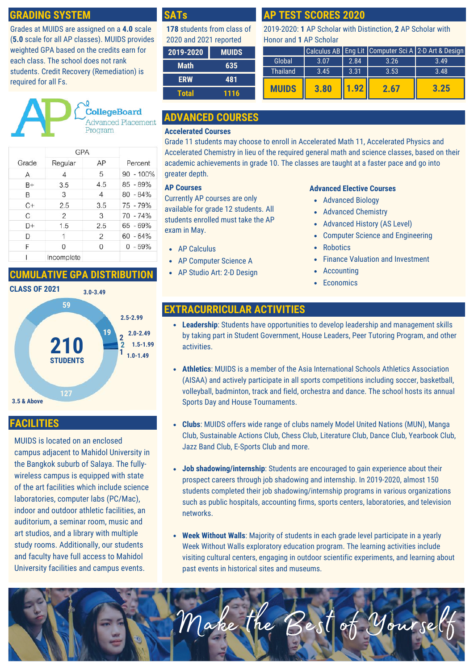# **GRADING SYSTEM**

Grades at MUIDS are assigned on a **4.0** scale (**5.0** scale for all AP classes). MUIDS provides weighted GPA based on the credits earn for each class. The school does not rank students. Credit Recovery (Remediation) is required for all Fs.



|       | <b>GPA</b>    |     |              |  |
|-------|---------------|-----|--------------|--|
| Grade | Regular       | AP  | Percent      |  |
| А     | 4             | 5   | $90 - 100\%$ |  |
| $B+$  | 3.5           | 4.5 | 85 - 89%     |  |
| в     | 3             | 4   | $80 - 84\%$  |  |
| $C+$  | 2.5           | 3.5 | $75 - 79%$   |  |
| C     | $\mathcal{P}$ | 3   | $70 - 74%$   |  |
| $D+$  | 1.5           | 2.5 | $65 - 69%$   |  |
| D     | 1             | 2   | $60 - 64%$   |  |
| F     | Ω             | Ω   | $0 - 59%$    |  |
|       | Incomplete    |     |              |  |

# **CUMULATIVE GPA DISTRIBUTION**



# **FACILITIES**

MUIDS is located on an enclosed campus adjacent to Mahidol University in the Bangkok suburb of Salaya. The fullywireless campus is equipped with state of the art facilities which include science laboratories, computer labs (PC/Mac), indoor and outdoor athletic facilities, an auditorium, a seminar room, music and art studios, and a library with multiple study rooms. Additionally, our students and faculty have full access to Mahidol University facilities and campus events.

# **SATs**

| 178 students from class of |              |  |  |
|----------------------------|--------------|--|--|
| 2020 and 2021 reported     |              |  |  |
| 2019-2020                  | <b>MUIDS</b> |  |  |

| <b>Math</b>  | 635  |
|--------------|------|
| <b>ERW</b>   | 481  |
| <b>Total</b> | 1116 |
|              |      |

# **ADVANCED COURSES**

### **Accelerated Courses**

Grade 11 students may choose to enroll in Accelerated Math 11, Accelerated Physics and Accelerated Chemistry in lieu of the required general math and science classes, based on their academic achievements in grade 10. The classes are taught at a faster pace and go into greater depth.

### **AP Courses**

Currently AP courses are only available for grade 12 students. All students enrolled must take the AP exam in May.

- AP Calculus
- AP Computer Science A
- AP Studio Art: 2-D Design

# **AP TEST SCORES 2020**

2019-2020: **1** AP Scholar with Distinction, **2** AP Scholar with Honor and **1** AP Scholar

|              |      |              |      | Calculus AB   Eng Lit   Computer Sci A   2-D Art & Design |
|--------------|------|--------------|------|-----------------------------------------------------------|
| Global       | 3.07 | 2.84         | 3.26 | 3.49                                                      |
| Thailand     | 3.45 | 3.31         | 3.53 | 3.48                                                      |
| <b>MUIDS</b> | 3.80 | $\vert$ 92 H | 2.67 | 3.25                                                      |

### **Advanced Elective Courses**

- Advanced Biology
- Advanced Chemistry
- Advanced History (AS Level)
- Computer Science and Engineering  $\bullet$
- **Robotics**
- Finance Valuation and Investment
- Accounting
- Economics

# **EXTRACURRICULAR ACTIVITIES**

- **Leadership**: Students have opportunities to develop leadership and management skills by taking part in Student Government, House Leaders, Peer Tutoring Program, and other activities.
- **Athletics**: MUIDS is a member of the Asia International Schools Athletics Association (AISAA) and actively participate in all sports competitions including soccer, basketball, volleyball, badminton, track and field, orchestra and dance. The school hosts its annual Sports Day and House Tournaments.
- **Clubs**: MUIDS offers wide range of clubs namely Model United Nations (MUN), Manga Club, Sustainable Actions Club, Chess Club, Literature Club, Dance Club, Yearbook Club, Jazz Band Club, E-Sports Club and more.
- **Job shadowing/internship**: Students are encouraged to gain experience about their prospect careers through job shadowing and internship. In 2019-2020, almost 150 students completed their job shadowing/internship programs in various organizations such as public hospitals, accounting firms, sports centers, laboratories, and television networks.
- **Week Without Walls**: Majority of students in each grade level participate in a yearly Week Without Walls exploratory education program. The learning activities include visiting cultural centers, engaging in outdoor scientific experiments, and learning about past events in historical sites and museums.